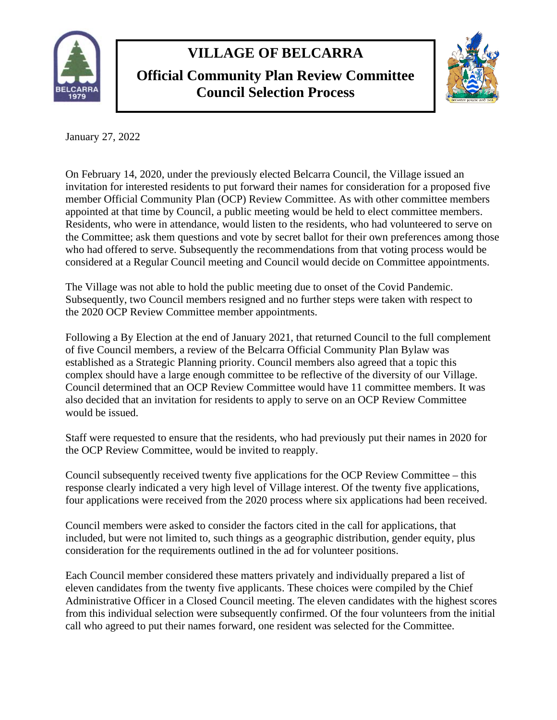

## **VILLAGE OF BELCARRA**

**Official Community Plan Review Committee Council Selection Process**



January 27, 2022

On February 14, 2020, under the previously elected Belcarra Council, the Village issued an invitation for interested residents to put forward their names for consideration for a proposed five member Official Community Plan (OCP) Review Committee. As with other committee members appointed at that time by Council, a public meeting would be held to elect committee members. Residents, who were in attendance, would listen to the residents, who had volunteered to serve on the Committee; ask them questions and vote by secret ballot for their own preferences among those who had offered to serve. Subsequently the recommendations from that voting process would be considered at a Regular Council meeting and Council would decide on Committee appointments.

The Village was not able to hold the public meeting due to onset of the Covid Pandemic. Subsequently, two Council members resigned and no further steps were taken with respect to the 2020 OCP Review Committee member appointments.

Following a By Election at the end of January 2021, that returned Council to the full complement of five Council members, a review of the Belcarra Official Community Plan Bylaw was established as a Strategic Planning priority. Council members also agreed that a topic this complex should have a large enough committee to be reflective of the diversity of our Village. Council determined that an OCP Review Committee would have 11 committee members. It was also decided that an invitation for residents to apply to serve on an OCP Review Committee would be issued.

Staff were requested to ensure that the residents, who had previously put their names in 2020 for the OCP Review Committee, would be invited to reapply.

Council subsequently received twenty five applications for the OCP Review Committee – this response clearly indicated a very high level of Village interest. Of the twenty five applications, four applications were received from the 2020 process where six applications had been received.

Council members were asked to consider the factors cited in the call for applications, that included, but were not limited to, such things as a geographic distribution, gender equity, plus consideration for the requirements outlined in the ad for volunteer positions.

Each Council member considered these matters privately and individually prepared a list of eleven candidates from the twenty five applicants. These choices were compiled by the Chief Administrative Officer in a Closed Council meeting. The eleven candidates with the highest scores from this individual selection were subsequently confirmed. Of the four volunteers from the initial call who agreed to put their names forward, one resident was selected for the Committee.